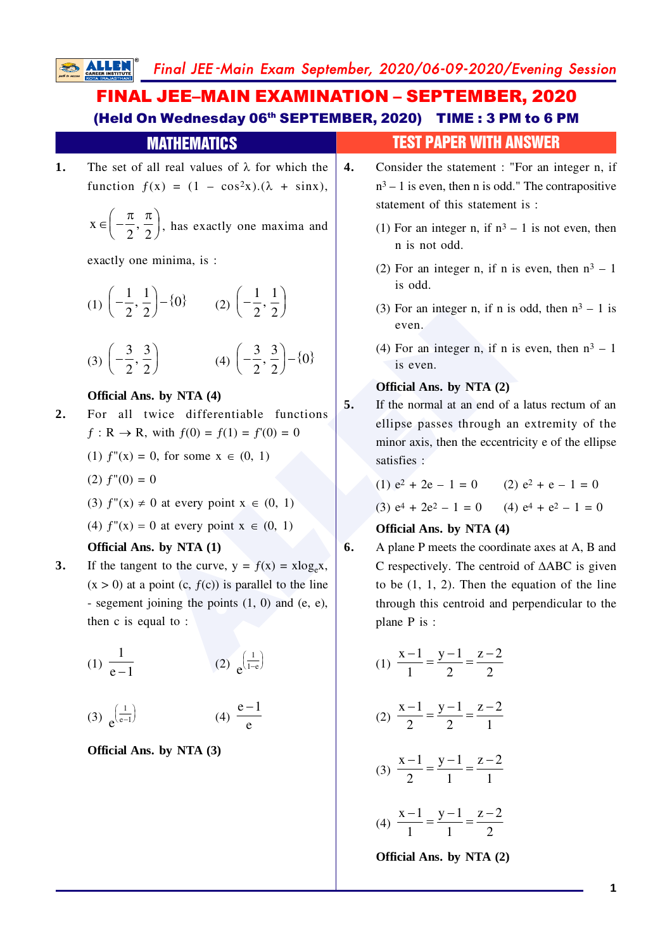# FINAL JEE–MAIN EXAMINATION – SEPTEMBER, 2020 (Held On Wednesday 06th SEPTEMBER, 2020) TIME : 3 PM to 6 PM

|    | <b>MATHEMATICS</b>                                                                                                                                                                                                                                                                  |    | test paper with Answer                                                                                                                                                                                                                                         |
|----|-------------------------------------------------------------------------------------------------------------------------------------------------------------------------------------------------------------------------------------------------------------------------------------|----|----------------------------------------------------------------------------------------------------------------------------------------------------------------------------------------------------------------------------------------------------------------|
| 1. | The set of all real values of $\lambda$ for which the<br>function $f(x) = (1 - \cos^2 x).(\lambda + \sin x)$ ,<br>$x \in \left(-\frac{\pi}{2}, \frac{\pi}{2}\right)$ , has exactly one maxima and                                                                                   | 4. | Consider the statement : "For an integer n, if<br>$n^3 - 1$ is even, then n is odd." The contrapositive<br>statement of this statement is :                                                                                                                    |
|    | exactly one minima, is :<br>(1) $\left(-\frac{1}{2}, \frac{1}{2}\right) - \{0\}$ (2) $\left(-\frac{1}{2}, \frac{1}{2}\right)$                                                                                                                                                       |    | (1) For an integer n, if $n^3 - 1$ is not even, then<br>n is not odd.<br>(2) For an integer n, if n is even, then $n^3 - 1$<br>is odd.                                                                                                                         |
|    | (3) $\left(-\frac{3}{2}, \frac{3}{2}\right)$ (4) $\left(-\frac{3}{2}, \frac{3}{2}\right) - \{0\}$                                                                                                                                                                                   |    | (3) For an integer n, if n is odd, then $n^3 - 1$ is<br>even.<br>(4) For an integer n, if n is even, then $n^3 - 1$<br>is even.                                                                                                                                |
| 2. | Official Ans. by NTA (4)<br>For all twice differentiable functions<br>$f: \mathbb{R} \to \mathbb{R}$ , with $f(0) = f(1) = f'(0) = 0$                                                                                                                                               | 5. | Official Ans. by NTA (2)<br>If the normal at an end of a latus rectum of an<br>ellipse passes through an extremity of the<br>minor axis, then the eccentricity e of the ellipse                                                                                |
|    | (1) $f''(x) = 0$ , for some $x \in (0, 1)$<br>$(2) f''(0) = 0$<br>(3) $f''(x) \neq 0$ at every point $x \in (0, 1)$                                                                                                                                                                 |    | satisfies :<br>(1) $e^2 + 2e - 1 = 0$ (2) $e^2 + e - 1 = 0$<br>(3) $e^4 + 2e^2 - 1 = 0$ (4) $e^4 + e^2 - 1 = 0$                                                                                                                                                |
| 3. | (4) $f''(x) = 0$ at every point $x \in (0, 1)$<br>Official Ans. by NTA (1)<br>If the tangent to the curve, $y = f(x) = x \log_e x$ ,<br>$(x > 0)$ at a point $(c, f(c))$ is parallel to the line<br>- segement joining the points $(1, 0)$ and $(e, e)$ ,<br>then $c$ is equal to : | 6. | Official Ans. by NTA (4)<br>A plane P meets the coordinate axes at A, B and<br>C respectively. The centroid of $\triangle ABC$ is given<br>to be $(1, 1, 2)$ . Then the equation of the line<br>through this centroid and perpendicular to the<br>plane P is : |
|    | (1) $\frac{1}{e-1}$<br>(2) $e^{\left(\frac{1}{1-e}\right)}$                                                                                                                                                                                                                         |    | (1) $\frac{x-1}{1} = \frac{y-1}{2} = \frac{z-2}{2}$                                                                                                                                                                                                            |
|    | (4) $\frac{e-1}{e}$<br>(3) $e^{\frac{1}{e-1}}$                                                                                                                                                                                                                                      |    | (2) $\frac{x-1}{2} = \frac{y-1}{2} = \frac{z-2}{1}$                                                                                                                                                                                                            |
|    | Official Ans. by NTA (3)                                                                                                                                                                                                                                                            |    | (3) $\frac{x-1}{2} = \frac{y-1}{1} = \frac{z-2}{1}$                                                                                                                                                                                                            |
|    |                                                                                                                                                                                                                                                                                     |    | (4) $\frac{x-1}{1} = \frac{y-1}{1} = \frac{z-2}{2}$                                                                                                                                                                                                            |
|    |                                                                                                                                                                                                                                                                                     |    | Official Ans. by NTA (2)                                                                                                                                                                                                                                       |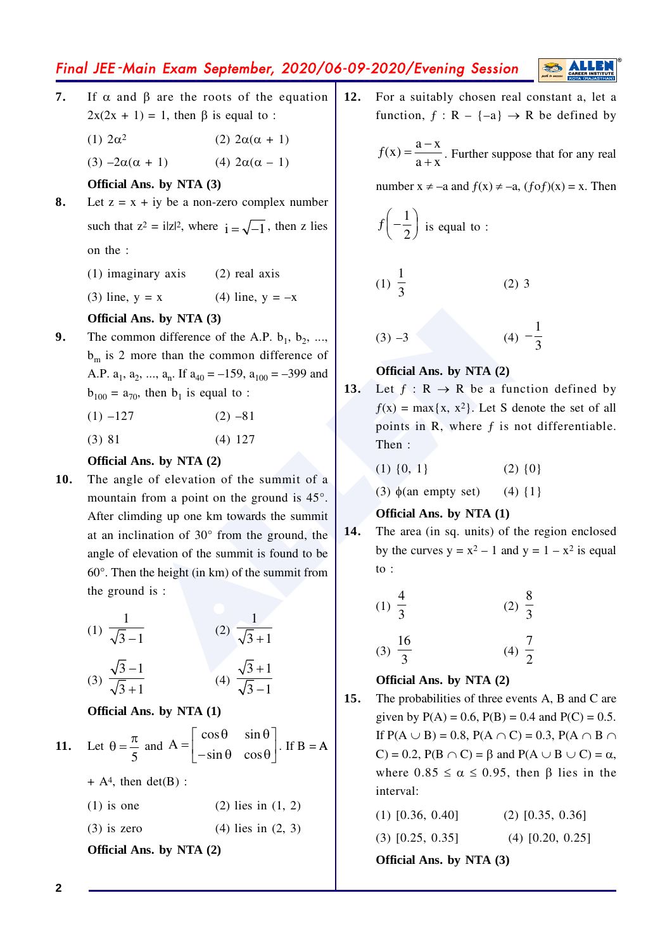# Final JEE-Main Exam September, 2020/06-09-2020/Evening Session

- $\overline{7}$ . If  $\alpha$  and  $\beta$  are the roots of the equation  $2x(2x + 1) = 1$ , then  $\beta$  is equal to :
	- $(1)$   $2\alpha^2$ (2)  $2\alpha(\alpha + 1)$

(4)  $2\alpha(\alpha - 1)$  $(3) -2\alpha(\alpha + 1)$ 

Official Ans. by NTA (3)

- 8. Let  $z = x + iy$  be a non-zero complex number such that  $z^2 = i|z|^2$ , where  $i = \sqrt{-1}$ , then z lies on the :
	- $(1)$  imaginary axis  $(2)$  real axis
	- $(3)$  line,  $y = x$ (4) line,  $y = -x$

### Official Ans. by NTA (3)

The common difference of the A.P.  $b_1$ ,  $b_2$ , ..., 9.  $b_m$  is 2 more than the common difference of A.P.  $a_1$ ,  $a_2$ , ...,  $a_n$ . If  $a_{40} = -159$ ,  $a_{100} = -399$  and  $b_{100} = a_{70}$ , then  $b_1$  is equal to :

| $(1) -127$ | $(2) -81$ |
|------------|-----------|
|------------|-----------|

 $(3) 81$  $(4) 127$ 

### Official Ans. by NTA (2)

The angle of elevation of the summit of a  $10.$ mountain from a point on the ground is  $45^{\circ}$ . After climding up one km towards the summit at an inclination of  $30^{\circ}$  from the ground, the angle of elevation of the summit is found to be  $60^\circ$ . Then the height (in km) of the summit from the ground is :

(1) 
$$
\frac{1}{\sqrt{3}-1}
$$
 (2)  $\frac{1}{\sqrt{3}+1}$ 

$$
(3) \frac{1}{\sqrt{3}+1} \qquad (4) \frac{1}{\sqrt{3}-1}
$$

Official Ans. by NTA (1)

**11.** Let 
$$
\theta = \frac{\pi}{5}
$$
 and  $A = \begin{bmatrix} \cos \theta & \sin \theta \\ -\sin \theta & \cos \theta \end{bmatrix}$ . If  $B = A$ 

 $+ A<sup>4</sup>$ , then det(B) :

 $(1)$  is one  $(2)$  lies in  $(1, 2)$ 

 $(3)$  is zero  $(4)$  lies in  $(2, 3)$ 

Official Ans. by NTA (2)

 $12.$ For a suitably chosen real constant a, let a function,  $f : R - \{-a\} \rightarrow R$  be defined by

 $f(x) = \frac{a - x}{a + x}$ . Further suppose that for any real

number  $x \neq -a$  and  $f(x) \neq -a$ ,  $(f \circ f)(x) = x$ . Then

$$
f\left(-\frac{1}{2}\right)
$$
 is equal to :

$$
(1) \ \frac{1}{3} \tag{2) 3}
$$

$$
(3) -3 \qquad (4) -\frac{1}{3}
$$

### Official Ans. by NTA (2)

 $13.$ Let  $f: R \rightarrow R$  be a function defined by  $f(x) = max{x, x^2}$ . Let S denote the set of all points in R, where f is not differentiable. Then:

| $(1) \{0, 1\}$ |  | $(2) \{0\}$ |
|----------------|--|-------------|
|----------------|--|-------------|

 $(4)$  {1} (3)  $\phi$ (an empty set)

## Official Ans. by NTA (1)

14. The area (in sq. units) of the region enclosed by the curves  $y = x^2 - 1$  and  $y = 1 - x^2$  is equal to :

(1) 
$$
\frac{4}{3}
$$
 (2)  $\frac{8}{3}$   
(3)  $\frac{16}{3}$  (4)  $\frac{7}{2}$ 

### Official Ans. by NTA (2)

 $15.$ The probabilities of three events A, B and C are given by  $P(A) = 0.6$ ,  $P(B) = 0.4$  and  $P(C) = 0.5$ . If  $P(A \cup B) = 0.8$ ,  $P(A \cap C) = 0.3$ ,  $P(A \cap B \cap C) = 0.3$ C = 0.2,  $P(B \cap C) = \beta$  and  $P(A \cup B \cup C) = \alpha$ , where  $0.85 \le \alpha \le 0.95$ , then B lies in the interval:

| <b>Official Ans. by NTA (3)</b> |                    |  |  |  |  |
|---------------------------------|--------------------|--|--|--|--|
| $(3)$ [0.25, 0.35]              | $(4)$ [0.20, 0.25] |  |  |  |  |
| $(1)$ [0.36, 0.40]              | $(2)$ [0.35, 0.36] |  |  |  |  |